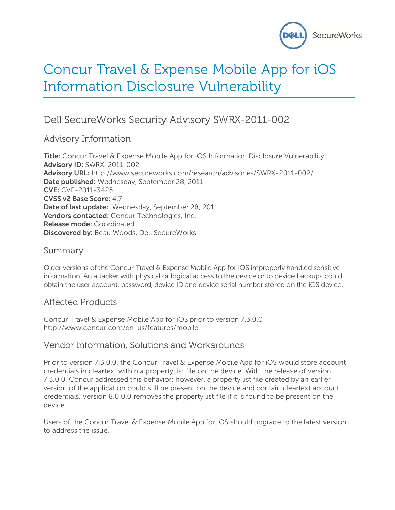

# Concur Travel & Expense Mobile App for iOS Information Disclosure Vulnerability

# Dell SecureWorks Security Advisory SWRX-2011-002

Advisory Information

**Title:** Concur Travel & Expense Mobile App for iOS Information Disclosure Vulnerability **Advisory ID:** SWRX-2011-002 **Advisory URL:** http://www.secureworks.com/research/advisories/SWRX-2011-002/ **Date published:** Wednesday, September 28, 2011 **CVE:** CVE-2011-3425 **CVSS v2 Base Score:** 4.7 **Date of last update:** Wednesday, September 28, 2011 **Vendors contacted:** Concur Technologies, Inc. **Release mode:** Coordinated **Discovered by:** Beau Woods, Dell SecureWorks

#### Summary

Older versions of the Concur Travel & Expense Mobile App for iOS improperly handled sensitive information. An attacker with physical or logical access to the device or to device backups could obtain the user account, password, device ID and device serial number stored on the iOS device.

#### Affected Products

Concur Travel & Expense Mobile App for iOS prior to version 7.3.0.0 http://www.concur.com/en-us/features/mobile

#### Vendor Information, Solutions and Workarounds

Prior to version 7.3.0.0, the Concur Travel & Expense Mobile App for iOS would store account credentials in cleartext within a property list file on the device. With the release of version 7.3.0.0, Concur addressed this behavior; however, a property list file created by an earlier version of the application could still be present on the device and contain cleartext account credentials. Version 8.0.0.0 removes the property list file if it is found to be present on the device.

Users of the Concur Travel & Expense Mobile App for iOS should upgrade to the latest version to address the issue.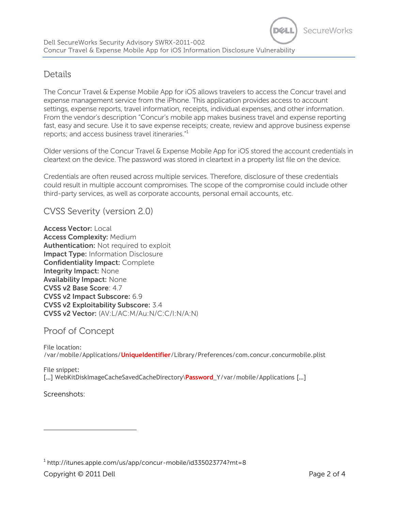## Details

The Concur Travel & Expense Mobile App for iOS allows travelers to access the Concur travel and expense management service from the iPhone. This application provides access to account settings, expense reports, travel information, receipts, individual expenses, and other information. From the vendor's description "Concur's mobile app makes business travel and expense reporting fast, easy and secure. Use it to save expense receipts; create, review and approve business expense reports; and access business travel itineraries."<sup>1</sup>

Older versions of the Concur Travel & Expense Mobile App for iOS stored the account credentials in cleartext on the device. The password was stored in cleartext in a property list file on the device.

Credentials are often reused across multiple services. Therefore, disclosure of these credentials could result in multiple account compromises. The scope of the compromise could include other third-party services, as well as corporate accounts, personal email accounts, etc.

CVSS Severity (version 2.0)

**Access Vector:** Local **Access Complexity:** Medium **Authentication:** Not required to exploit **Impact Type:** Information Disclosure **Confidentiality Impact:** Complete **Integrity Impact:** None **Availability Impact:** None **CVSS v2 Base Score**: 4.7 **CVSS v2 Impact Subscore:** 6.9 **CVSS v2 Exploitability Subscore:** 3.4 **CVSS v2 Vector:** (AV:L/AC:M/Au:N/C:C/I:N/A:N)

#### Proof of Concept

File location: /var/mobile/Applications/**UniqueIdentifier**/Library/Preferences/com.concur.concurmobile.plist

File snippet: […] WebKitDiskImageCacheSavedCacheDirectory\**Password**\_Y/var/mobile/Applications […]

Screenshots:

 $^{\rm 1}$  http://itunes.apple.com/us/app/concur-mobile/id335023774?mt=8

Copyright © 2011 Dell Page 2 of 4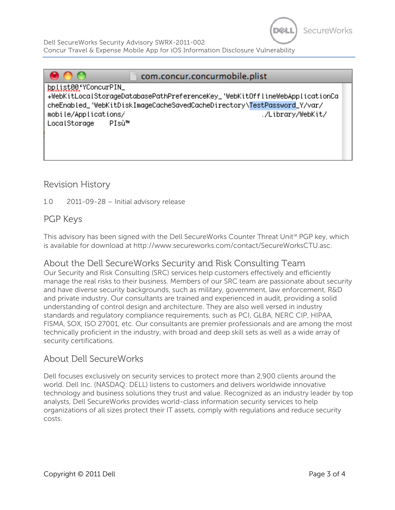

Dell SecureWorks Security Advisory SWRX-2011-002 Concur Travel & Expense Mobile App for iOS Information Disclosure Vulnerability

| com.concur.concurmobile.plist                                                                       |                   |
|-----------------------------------------------------------------------------------------------------|-------------------|
| bplist00'YConcurPIN_<br>+WebKitLocalStorageDatabasePathPreferenceKey_'WebKitOfflineWebApplicationCa |                   |
| cheEnabled_'WebKitDiskImageCacheSavedCacheDirectory\TestPassword_Y/var/<br>mobile/Applications/     | ./Library/WebKit/ |
| PIsù™<br>LocalStorage                                                                               |                   |
|                                                                                                     |                   |
|                                                                                                     |                   |

#### Revision History

1.0 2011-09-28 – Initial advisory release

### PGP Keys

This advisory has been signed with the Dell SecureWorks Counter Threat Unit<sup>®a</sup> PGP key, which is available for download at http://www.secureworks.com/contact/SecureWorksCTU.asc.

#### About the Dell SecureWorks Security and Risk Consulting Team

Our Security and Risk Consulting (SRC) services help customers effectively and efficiently manage the real risks to their business. Members of our SRC team are passionate about security and have diverse security backgrounds, such as military, government, law enforcement, R&D and private industry. Our consultants are trained and experienced in audit, providing a solid understanding of control design and architecture. They are also well versed in industry standards and regulatory compliance requirements, such as PCI, GLBA, NERC CIP, HIPAA, FISMA, SOX, ISO 27001, etc. Our consultants are premier professionals and are among the most technically proficient in the industry, with broad and deep skill sets as well as a wide array of security certifications.

#### About Dell SecureWorks

Dell focuses exclusively on security services to protect more than 2,900 clients around the world. Dell Inc. (NASDAQ: DELL) listens to customers and delivers worldwide innovative technology and business solutions they trust and value. Recognized as an industry leader by top analysts, Dell SecureWorks provides world-class information security services to help organizations of all sizes protect their IT assets, comply with regulations and reduce security costs.